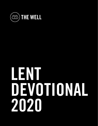

# **LENT DEVOTIONAL 2020**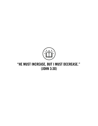

# **"HE MUST INCREASE, BUT I MUST DECREASE." (JOHN 3:30)**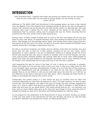#### **INTRODUCTION**

*"John answered them, 'I baptize with water, but among you stands one you do not know, even he who comes after me, the strap of whose sandal I am not worthy to untie." (John 1:26-27)* 

*Welcome to The Well's 2020 Lent Devotional!* In the passage above, we have a man named John the Baptist. From the powerful and wonderful things he did to the way he dressed (in camel's hair) and the way he ate (locusts and wild honey), there's no denying that John was someone who lived a radical life for Jesus. Despite all the things he did though, John understood that his primary calling was to prepare the way for Christ, knowing that He would be the One who would come to take away all sins.

During John's ministry, people flocked from all over to see him and asked who he was and what his story was about. As people followed John, they started proclaiming him to be the Savior. That brings us to the passage above where John denies those claims saying that he's not worthy of the One who is to come. He went on to point others toward the Messiah Jesus instead, preaching a message of repentance from sin.

Sin tells us we honor ourselves, our needs, and our desires, more than we worship, love, and honor God. Sin tells us that we, in fact, believe ourselves to be our own Christ. John's declaration of Jesus' identity is an act of repentance where he is taking himself off of the throne and showing that *only Jesus* is worthy of worship. John is not the Messiah, not even close, and he knew someone greater was coming. With this in mind, John called people to repent from their sins and prepare for the Messiah: *the better one to come*. Instead of living for himself, John intentionally set his hope and trust in the One who is greater.

John preparing the way for Jesus is the heart of Lent. It serves as a reminder to prepare, reflect, and make room for the way of the Lord in our lives. It calls us to make room for Him in our thoughts, days, activities, and affections. It leads us to sit at the feet of God where we realize our imperfections and are reminded of our need for the One who is mightier and greater than us. As we reflect on who we are and what Jesus has done for us, it will stir up our affections to be more in awe and in love with Jesus. John's message still rings true for us today as we prepare the way for the Lord to come!

Traditionally, the Lenten season is a time where we give up comforts that we often find ourselves depending on more than we depend on Jesus. This year, however, we want to have a heart like John the Baptist, who didn't only give up things, but also actively prepared for Jesus. As a church, rather than giving up something, we want to prepare, or *add* things to make way and room for our great Savior. That means giving God our *all* — our devotion, our time, and our heart. Rather than give up *for God*, let's give things *to God,* using this time to prepare by taking our eyes off of ourselves and looking towards our need for Jesus.

As we prepare for the celebration of the Resurrection of Jesus on Easter Sunday, our prayer is that your time spent in this devotional over the next 40 days will serve you well and help you grow in affection and devotion for Christ, our Resurrected Savior.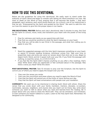# **HOW TO USE THIS DEVOTIONAL**

Below are the guidelines for using this devotional. We really want to stand under the authority of God's Word and begin to wrestle with letting His Word transform our lives. We want to dwell on the Word of God, praying that it will become like braille — that each paragraph, each sentence, each word would stand out. As a church, one of our distinctives is that we are: "Empowered by the Spirit and guided by the Word." We want to add this into our lives this season to give Him the proper space in our hearts.

**PRE-DEVOTIONAL PRAYER:** Before each day's devotional, take 5 minutes to pray. Ask God for the Spirit to convict, move, mold, and transform your heart with the power of the living Word.

- Pray for calmness and clarity as you spend time with God.
- Pray that you would be sensitive to what the Spirit impresses on your heart.
- Pray that you will be able to see Christ in the passage, and what He's calling you to apply to your life.

#### **TIME:**

- Read the suggested passage until the Holy Spirit impresses something on your heart, or spend 15 minutes reading Scripture, whichever comes first. Take your time to prayerfully read, and write any verse (or verses) down that stick out to you. Begin to digest God's Word, and let it speak truth over your life. If you finish the passage with nothing, re-read the verses. *S-L-O-W D-O-W-N.*
- If you feel like the Spirit didn't impress anything on you after a few readings, that's okay! Write down what you appreciate or feel confused about in the passage. Was there a verse you liked? Write this down.

**POST-DEVOTIONAL PRAYER:** Take 10 minutes to pray over the Scripture. Ask the Spirit to convict you of where you need to apply the Gospel over your life.

- Pray over the verses you wrote.
- Pray over the convictions and areas where you need to apply the Word of God.
- Pray that the Spirit will remind you of the truths of Jesus during your day.
- Pray that the Spirit will lead conversations with people over your revelation.

**COMMUNITY:** We want you to be intentional in sharing God's Word with others. Share the verses that you wrote down with your family members, mentors, disciples, co-workers, roommates, spouses, neighbors, and anyone else you reach out to! Every day, write down someone you want to talk to about what you read and learned from the reading. Be in prayer about who you need to share the Word with. They can be Christians, non-Christians, or even someone you haven't talked to in years. Listen to the Holy Spirit here. Remember, He designed us for community.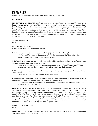#### **EXAMPLES**

*Below are two examples of what a devotional time might look like.*

#### **EXAMPLE 1:**

**PRE-DEVOTIONAL PRAYER:** *God, will You begin to transform my heart and let this Word become a foundation in my life? Give me wisdom and discernment as I begin to unpack Your Word. Open my eyes to wonder and may Your Spirit give me eyes to see the glimpses of Your glory that I cannot see on my own. Make me a doer of Your Word, reminding of your grace, that produces change in my life. I pray that Your Word would manifest an everquenching thirst to be in Your presence. Help me to see Your Son, Jesus, in this passage, and let me be able to see areas in my life where I need to be reminded of the Gospel. Let me hear Your voice as I begin to read. Thank you.* 

*In Jesus' name I pray, Amen.*

**DEVOTIONAL:** Read Titus 2 *What verses stick out? Write them down!*

**V 11** For the grace of God has appeared, **bringing** salvation for all people.

*Christmas! The grace of God appears in His Son Jesus to BRING salvation, that heaven would come down in Jesus to save me!* 

**V 12 Training** us to **renounce** ungodliness and worldly passions, and to live self-controlled, upright, and godly lives in the present age,

*God, what does this mean to "renounce ungodliness, and worldly passions"? Help me to see my heart that I may not tolerate ungodliness but renounce it.* 

**V 13** waiting for our blessed hope, the appearing of the glory of our great God and Savior Jesus Christ,

*Help me to LONG for the second coming of Jesus.* 

**V 14** who gave Himself for us to redeem us from all lawlessness and to purify for Himself a people for His own possession who are zealous for good works.

*As Christ gave up all of Himself to redeem me, help me see the sin in my heart and give up all things for His glory.* 

**POST-DEVOTIONAL PRAYER:** *Father, will you help me realize the power of what it means for Jesus to bring salvation to me. That Jesus would give up all things to come into this world to bring salvation to me. Help me understand the power of His love that I too will love people like this. That you will give me the courage to examine my heart and renounce the sins that are in my life. That with anticipation I will LONG for Jesus' second coming, preparing my life and heart, to bring salvation to people through Your Son, Jesus Christ. I am so thankful for the promises and joy of being in life with a Savior and Father who loves me; I pray that the Spirit will convict my heart to do good works.* 

*I thank you, in Jesus' name, Amen.* 

**COMMUNITY:** I will share this with Josh when we meet up for discipleship, being reminded of the joy of keeping our eyes on Christ.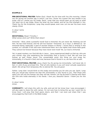#### **EXAMPLE 2:**

**PRE-DEVOTIONAL PRAYER:** *Father God, I thank You for time with You this morning. I thank You for giving me another day in which I can live. I know You sustain the very breath in my lungs, and so I praise you for today. Spirit, I pray that you would open up my eyes to what You want me to see today. Show me what my soul needs, and let me find strength in You. Thank You for the Scriptures; I pray they would speak, even now. Let me see You even more clearly, Christ.* 

*In Jesus' name, Amen.* 

#### **DEVOTIONAL:** Read 1 Timothy 1

*What verses stick out? Write them down!* 

*Immortal* – Wow, what a powerful word! God is immortal. He can never die. Nothing can kill Him. He has lived forever, and He will live forever! "Immortal," as a noun, is defined as: "an immortal being, especially a god of ancient Greece or Rome." I know Paul is writing in this context, so I wonder if this was even intentional there. He is far higher than those false gods. They cannot live forever because they have never even lived! Yet, our God is immortal.

Yet, in great mystery, our God did die in Jesus… Jesus experienced death so that we, who are *very* mortal, may now experience the immortality that is found in God. We will now live forever as well. Praise Jesus! This unreachable word, this thing our soul longs for, immortality, it is found in God, and now, because God is found in us, we have this as well.

**POST-DEVOTIONAL PRAYER:** *Jesus, thank You for giving me immortality. I will never die. In*  fact, in John 8 you promised this. That all who believe in you will never actually experience *death. We will go from temporary life, to eternal life. You are good.* 

*Father, I pray that I would think on this today and worship you for who you are. Spirit, I pray that you would also remind me that this immortality is only found in you. That those who reject you will not live forever, but they will die, forever. Let me be bold in sharing with them the One who holds eternality in His hands. I love you, beautiful Savior. I thank you for this day.* 

*In Jesus' name, Amen.* 

**COMMUNITY:** I will share this with my wife, and just let her know how I was encouraged. I will also seek to share this with James. I'm not sure how to bring this up, but I want him to know God. I will pray that God opens doors, and that I can even just share that I was encouraged by that truth in the Bible today!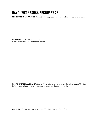# **DAY 1: WEDNESDAY, FEBRUARY 26**

**PRE-DEVOTIONAL PRAYER:** *Spend 5 minutes preparing your heart for the devotional time.* 

**DEVOTIONAL:** *Read Matthew 4:1-11 What verses stick out? Write them down!* 

**POST-DEVOTIONAL PRAYER:** *Spend 10 minutes praying over the Scripture and asking the Spirit to convict you of where you need to apply the Gospel in your life.*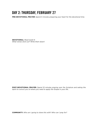# **DAY 2: THURSDAY, FEBRUARY 27**

**PRE-DEVOTIONAL PRAYER:** *Spend 5 minutes preparing your heart for the devotional time.* 

**DEVOTIONAL:** *Read Isaiah 6 What verses stick out? Write them down!* 

**POST-DEVOTIONAL PRAYER:** *Spend 10 minutes praying over the Scripture and asking the Spirit to convict you of where you need to apply the Gospel in your life..*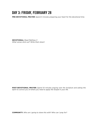# **DAY 3: FRIDAY, FEBRUARY 28**

**PRE-DEVOTIONAL PRAYER:** *Spend 5 minutes preparing your heart for the devotional time.* 

**DEVOTIONAL:** *Read Matthew 3 What verses stick out? Write them down!* 

**POST-DEVOTIONAL PRAYER:** *Spend 10 minutes praying over the Scripture and asking the Spirit to convict you of where you need to apply the Gospel in your life.*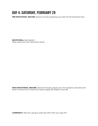# **DAY 4: SATURDAY, FEBRUARY 29**

**PRE-DEVOTIONAL PRAYER:** *Spend 5 minutes preparing your heart for the devotional time.* 

**DEVOTIONAL:** *Read Daniel 1 What verses stick out? Write them down!* 

**POST-DEVOTIONAL PRAYER:** *Spend 10 minutes praying over the Scripture and asking the Spirit to convict you of where you need to apply the Gospel in your life.*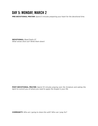#### **DAY 5: MONDAY, MARCH 2**

**PRE-DEVOTIONAL PRAYER:** *Spend 5 minutes preparing your heart for the devotional time.* 

**DEVOTIONAL:** *Read Psalm 27 What verses stick out? Write them down!* 

**POST-DEVOTIONAL PRAYER:** *Spend 10 minutes praying over the Scripture and asking the Spirit to convict you of where you need to apply the Gospel in your life.*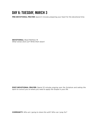# **DAY 6: TUESDAY, MARCH 3**

**PRE-DEVOTIONAL PRAYER:** *Spend 5 minutes preparing your heart for the devotional time.* 

**DEVOTIONAL:** *Read Matthew 16 What verses stick out? Write them down!* 

**POST-DEVOTIONAL PRAYER:** *Spend 10 minutes praying over the Scripture and asking the Spirit to convict you of where you need to apply the Gospel in your life.*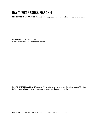# **DAY 7: WEDNESDAY, MARCH 4**

**PRE-DEVOTIONAL PRAYER:** *Spend 5 minutes preparing your heart for the devotional time.* 

**DEVOTIONAL:** *Read Ezekiel 1 What verses stick out? Write them down!* 

**POST-DEVOTIONAL PRAYER:** *Spend 10 minutes praying over the Scripture and asking the Spirit to convict you of where you need to apply the Gospel in your life.*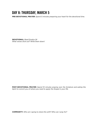#### **DAY 8: THURSDAY, MARCH 5**

**PRE-DEVOTIONAL PRAYER:** *Spend 5 minutes preparing your heart for the devotional time.* 

**DEVOTIONAL:** *Read Exodus 24 What verses stick out? Write them down!* 

**POST-DEVOTIONAL PRAYER:** *Spend 10 minutes praying over the Scripture and asking the Spirit to convict you of where you need to apply the Gospel in your life.*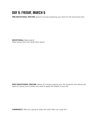#### **DAY 9: FRIDAY, MARCH 6**

**PRE-DEVOTIONAL PRAYER:** *Spend 5 minutes preparing your heart for the devotional time.* 

**DEVOTIONAL:** *Read Luke 8 What verses stick out? Write them down!* 

**POST-DEVOTIONAL PRAYER:** *Spend 10 minutes praying over the Scripture and asking the Spirit to convict you of where you need to apply the Gospel in your life.*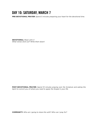#### **DAY 10: SATURDAY, MARCH 7**

**PRE-DEVOTIONAL PRAYER:** *Spend 5 minutes preparing your heart for the devotional time.* 

**DEVOTIONAL:** *Read John 3 What verses stick out? Write them down!* 

**POST-DEVOTIONAL PRAYER:** *Spend 10 minutes praying over the Scripture and asking the Spirit to convict you of where you need to apply the Gospel in your life.*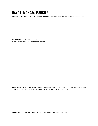# **DAY 11: MONDAY, MARCH 9**

**PRE-DEVOTIONAL PRAYER:** *Spend 5 minutes preparing your heart for the devotional time.* 

**DEVOTIONAL:** *Read Genesis 3 What verses stick out? Write them down!* 

**POST-DEVOTIONAL PRAYER:** *Spend 10 minutes praying over the Scripture and asking the Spirit to convict you of where you need to apply the Gospel in your life.*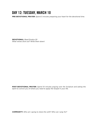#### **DAY 12: TUESDAY, MARCH 10**

**PRE-DEVOTIONAL PRAYER:** *Spend 5 minutes preparing your heart for the devotional time.* 

**DEVOTIONAL:** *Read Exodus 20 What verses stick out? Write them down!* 

**POST-DEVOTIONAL PRAYER:** *Spend 10 minutes praying over the Scripture and asking the Spirit to convict you of where you need to apply the Gospel in your life.*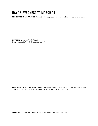# **DAY 13: WEDNESDAY, MARCH 11**

**PRE-DEVOTIONAL PRAYER:** *Spend 5 minutes preparing your heart for the devotional time.* 

**DEVOTIONAL:** *Read Habakkuk 3 What verses stick out? Write them down!* 

**POST-DEVOTIONAL PRAYER:** *Spend 10 minutes praying over the Scripture and asking the Spirit to convict you of where you need to apply the Gospel in your life.*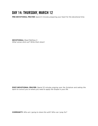# **DAY 14: THURSDAY, MARCH 12**

**PRE-DEVOTIONAL PRAYER:** *Spend 5 minutes preparing your heart for the devotional time.* 

**DEVOTIONAL:** *Read Matthew 5 What verses stick out? Write them down!* 

**POST-DEVOTIONAL PRAYER:** *Spend 10 minutes praying over the Scripture and asking the Spirit to convict you of where you need to apply the Gospel in your life.*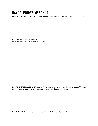#### **DAY 15: FRIDAY, MARCH 13**

**PRE-DEVOTIONAL PRAYER:** *Spend 5 minutes preparing your heart for the devotional time.* 

**DEVOTIONAL:** *Read Romans 8 What verses stick out? Write them down!* 

**POST-DEVOTIONAL PRAYER:** *Spend 10 minutes praying over the Scripture and asking the Spirit to convict you of where you need to apply the Gospel in your life.*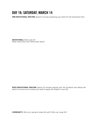# **DAY 16: SATURDAY, MARCH 14**

**PRE-DEVOTIONAL PRAYER:** *Spend 5 minutes preparing your heart for the devotional time.* 

**DEVOTIONAL:** *Read Luke 24 What verses stick out? Write them down!* 

**POST-DEVOTIONAL PRAYER:** *Spend 10 minutes praying over the Scripture and asking the Spirit to convict you of where you need to apply the Gospel in your life.*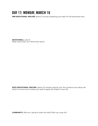#### **DAY 17: MONDAY, MARCH 16**

**PRE-DEVOTIONAL PRAYER:** *Spend 5 minutes preparing your heart for the devotional time.* 

**DEVOTIONAL:** *Luke 15 What verses stick out? Write them down!* 

**POST-DEVOTIONAL PRAYER:** *Spend 10 minutes praying over the Scripture and asking the Spirit to convict you of where you need to apply the Gospel in your life.*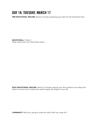# **DAY 18: TUESDAY, MARCH 17**

**PRE-DEVOTIONAL PRAYER:** *Spend 5 minutes preparing your heart for the devotional time.* 

**DEVOTIONAL:** *1 Peter 2 What verses stick out? Write them down!* 

**POST-DEVOTIONAL PRAYER:** *Spend 10 minutes praying over the Scripture and asking the Spirit to convict you of where you need to apply the Gospel in your life.*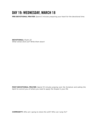# **DAY 19: WEDNESDAY, MARCH 18**

**PRE-DEVOTIONAL PRAYER:** *Spend 5 minutes preparing your heart for the devotional time.* 

**DEVOTIONAL:** *Psalm 22 What verses stick out? Write them down!* 

**POST-DEVOTIONAL PRAYER:** *Spend 10 minutes praying over the Scripture and asking the Spirit to convict you of where you need to apply the Gospel in your life.*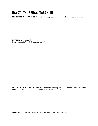# **DAY 20: THURSDAY, MARCH 19**

**PRE-DEVOTIONAL PRAYER:** *Spend 5 minutes preparing your heart for the devotional time.* 

**DEVOTIONAL:** *1 John 2 What verses stick out? Write them down!* 

**POST-DEVOTIONAL PRAYER:** *Spend 10 minutes praying over the Scripture and asking the Spirit to convict you of where you need to apply the Gospel in your life.*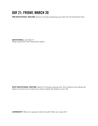# **DAY 21: FRIDAY, MARCH 20**

**PRE-DEVOTIONAL PRAYER:** *Spend 5 minutes preparing your heart for the devotional time.* 

**DEVOTIONAL:** *Jeremiah 17 What verses stick out? Write them down!* 

**POST-DEVOTIONAL PRAYER:** *Spend 10 minutes praying over the Scripture and asking the Spirit to convict you of where you need to apply the Gospel in your life.*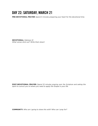# **DAY 22: SATURDAY, MARCH 21**

**PRE-DEVOTIONAL PRAYER:** *Spend 5 minutes preparing your heart for the devotional time.* 

**DEVOTIONAL:** *Hebrews 12 What verses stick out? Write them down!* 

**POST-DEVOTIONAL PRAYER:** *Spend 10 minutes praying over the Scripture and asking the Spirit to convict you of where you need to apply the Gospel in your life.*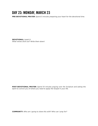#### **DAY 23: MONDAY, MARCH 23**

**PRE-DEVOTIONAL PRAYER:** *Spend 5 minutes preparing your heart for the devotional time.* 

**DEVOTIONAL:** *Isaiah 9 What verses stick out? Write them down!* 

**POST-DEVOTIONAL PRAYER:** *Spend 10 minutes praying over the Scripture and asking the Spirit to convict you of where you need to apply the Gospel in your life.*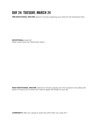#### **DAY 24: TUESDAY, MARCH 24**

**PRE-DEVOTIONAL PRAYER:** *Spend 5 minutes preparing your heart for the devotional time.* 

**DEVOTIONAL:** *Isaiah 42 What verses stick out? Write them down!* 

**POST-DEVOTIONAL PRAYER:** *Spend 10 minutes praying over the Scripture and asking the Spirit to convict you of where you need to apply the Gospel in your life.*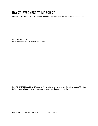# **DAY 25: WEDNESDAY, MARCH 25**

**PRE-DEVOTIONAL PRAYER:** *Spend 5 minutes preparing your heart for the devotional time.* 

**DEVOTIONAL:** *Isaiah 49 What verses stick out? Write them down!* 

**POST-DEVOTIONAL PRAYER:** *Spend 10 minutes praying over the Scripture and asking the Spirit to convict you of where you need to apply the Gospel in your life.*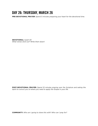#### **DAY 26: THURSDAY, MARCH 26**

**PRE-DEVOTIONAL PRAYER:** *Spend 5 minutes preparing your heart for the devotional time.* 

**DEVOTIONAL:** *Isaiah 50 What verses stick out? Write them down!* 

**POST-DEVOTIONAL PRAYER:** *Spend 10 minutes praying over the Scripture and asking the Spirit to convict you of where you need to apply the Gospel in your life.*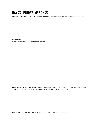#### **DAY 27: FRIDAY, MARCH 27**

**PRE-DEVOTIONAL PRAYER:** *Spend 5 minutes preparing your heart for the devotional time.* 

**DEVOTIONAL:** *Isaiah 53 What verses stick out? Write them down!* 

**POST-DEVOTIONAL PRAYER:** *Spend 10 minutes praying over the Scripture and asking the Spirit to convict you of where you need to apply the Gospel in your life.*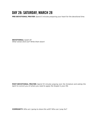#### **DAY 28: SATURDAY, MARCH 28**

**PRE-DEVOTIONAL PRAYER:** *Spend 5 minutes preparing your heart for the devotional time.* 

**DEVOTIONAL:** *Isaiah 43 What verses stick out? Write them down!* 

**POST-DEVOTIONAL PRAYER:** *Spend 10 minutes praying over the Scripture and asking the Spirit to convict you of where you need to apply the Gospel in your life.*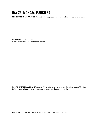#### **DAY 29: MONDAY, MARCH 30**

**PRE-DEVOTIONAL PRAYER:** *Spend 5 minutes preparing your heart for the devotional time.* 

**DEVOTIONAL:** *Genesis 22 What verses stick out? Write them down!* 

**POST-DEVOTIONAL PRAYER:** *Spend 10 minutes praying over the Scripture and asking the Spirit to convict you of where you need to apply the Gospel in your life.*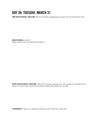#### **DAY 30: TUESDAY, MARCH 31**

**PRE-DEVOTIONAL PRAYER:** *Spend 5 minutes preparing your heart for the devotional time.* 

**DEVOTIONAL:** *Acts 13 What verses stick out? Write them down!* 

**POST-DEVOTIONAL PRAYER:** *Spend 10 minutes praying over the Scripture and asking the Spirit to convict you of where you need to apply the Gospel in your life.*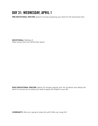# **DAY 31: WEDNESDAY, APRIL 1**

**PRE-DEVOTIONAL PRAYER:** *Spend 5 minutes preparing your heart for the devotional time.* 

**DEVOTIONAL:** *Matthew 8 What verses stick out? Write them down!* 

**POST-DEVOTIONAL PRAYER:** *Spend 10 minutes praying over the Scripture and asking the Spirit to convict you of where you need to apply the Gospel in your life.*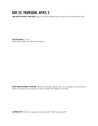#### **DAY 32: THURSDAY, APRIL 2**

**PRE-DEVOTIONAL PRAYER:** *Spend 5 minutes preparing your heart for the devotional time.* 

**DEVOTIONAL:** *John 7 What verses stick out? Write them down!* 

**POST-DEVOTIONAL PRAYER:** *Spend 10 minutes praying over the Scripture and asking the Spirit to convict you of where you need to apply the Gospel in your life.*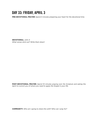# **DAY 33: FRIDAY, APRIL 3**

**PRE-DEVOTIONAL PRAYER:** *Spend 5 minutes preparing your heart for the devotional time.* 

**DEVOTIONAL:** *John 4 What verses stick out? Write them down!*

**POST-DEVOTIONAL PRAYER:** *Spend 10 minutes praying over the Scripture and asking the Spirit to convict you of where you need to apply the Gospel in your life.*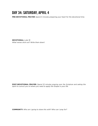# **DAY 34: SATURDAY, APRIL 4**

**PRE-DEVOTIONAL PRAYER:** *Spend 5 minutes preparing your heart for the devotional time.* 

**DEVOTIONAL:** *Luke 18 What verses stick out? Write them down!*

**POST-DEVOTIONAL PRAYER:** *Spend 10 minutes praying over the Scripture and asking the Spirit to convict you of where you need to apply the Gospel in your life.*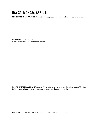# **DAY 35: MONDAY, APRIL 6**

**PRE-DEVOTIONAL PRAYER:** *Spend 5 minutes preparing your heart for the devotional time.* 

**DEVOTIONAL:** *Matthew 21 What verses stick out? Write them down!* 

**POST-DEVOTIONAL PRAYER:** *Spend 10 minutes praying over the Scripture and asking the Spirit to convict you of where you need to apply the Gospel in your life.*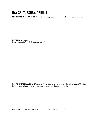# **DAY 36: TUESDAY, APRIL 7**

**PRE-DEVOTIONAL PRAYER:** *Spend 5 minutes preparing your heart for the devotional time.* 

**DEVOTIONAL:** *Luke 22 What verses stick out? Write them down!* 

**POST-DEVOTIONAL PRAYER:** *Spend 10 minutes praying over the Scripture and asking the Spirit to convict you of where you need to apply the Gospel in your life.*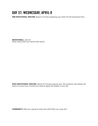# **DAY 37: WEDNESDAY, APRIL 8**

**PRE-DEVOTIONAL PRAYER:** *Spend 5 minutes preparing your heart for the devotional time.* 

**DEVOTIONAL:** *John 19 What verses stick out? Write them down!* 

**POST-DEVOTIONAL PRAYER:** *Spend 10 minutes praying over the Scripture and asking the Spirit to convict you of where you need to apply the Gospel in your life.*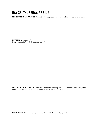# **DAY 38: THURSDAY, APRIL 9**

**PRE-DEVOTIONAL PRAYER:** *Spend 5 minutes preparing your heart for the devotional time.* 

**DEVOTIONAL:** *Luke 23 What verses stick out? Write them down!* 

**POST-DEVOTIONAL PRAYER:** *Spend 10 minutes praying over the Scripture and asking the Spirit to convict you of where you need to apply the Gospel in your life.*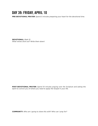#### **DAY 39: FRIDAY, APRIL 10**

**PRE-DEVOTIONAL PRAYER:** *Spend 5 minutes preparing your heart for the devotional time.* 

**DEVOTIONAL:** *Mark 15 What verses stick out? Write them down!* 

**POST-DEVOTIONAL PRAYER:** *Spend 10 minutes praying over the Scripture and asking the Spirit to convict you of where you need to apply the Gospel in your life.*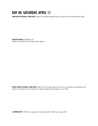# **DAY 40: SATURDAY, APRIL 11**

**PRE-DEVOTIONAL PRAYER:** *Spend 5 minutes preparing your heart for the devotional time.* 

**DEVOTIONAL:** *Matthew 27 What verses stick out? Write them down!* 

**POST-DEVOTIONAL PRAYER:** *Spend 10 minutes praying over the Scripture and asking the Spirit to convict you of where you need to apply the Gospel in your life.*